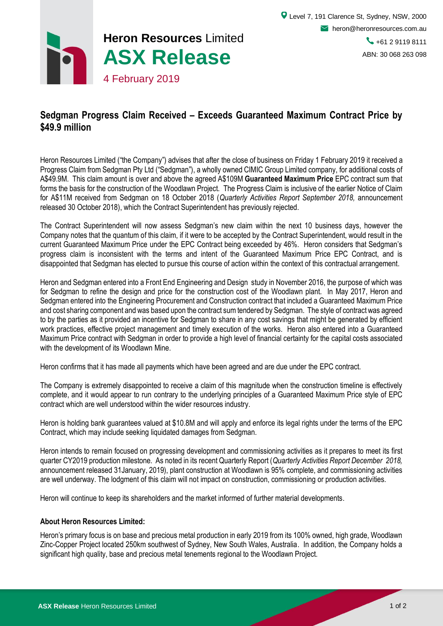

## **Sedgman Progress Claim Received – Exceeds Guaranteed Maximum Contract Price by \$49.9 million**

Heron Resources Limited ("the Company") advises that after the close of business on Friday 1 February 2019 it received a Progress Claim from Sedgman Pty Ltd ("Sedgman"), a wholly owned CIMIC Group Limited company, for additional costs of A\$49.9M. This claim amount is over and above the agreed A\$109M **Guaranteed Maximum Price** EPC contract sum that forms the basis for the construction of the Woodlawn Project. The Progress Claim is inclusive of the earlier Notice of Claim for A\$11M received from Sedgman on 18 October 2018 (*Quarterly Activities Report September 2018,* announcement released 30 October 2018), which the Contract Superintendent has previously rejected.

The Contract Superintendent will now assess Sedgman's new claim within the next 10 business days, however the Company notes that the quantum of this claim, if it were to be accepted by the Contract Superintendent, would result in the current Guaranteed Maximum Price under the EPC Contract being exceeded by 46%. Heron considers that Sedgman's progress claim is inconsistent with the terms and intent of the Guaranteed Maximum Price EPC Contract, and is disappointed that Sedgman has elected to pursue this course of action within the context of this contractual arrangement.

Heron and Sedgman entered into a Front End Engineering and Design study in November 2016, the purpose of which was for Sedgman to refine the design and price for the construction cost of the Woodlawn plant. In May 2017, Heron and Sedgman entered into the Engineering Procurement and Construction contract that included a Guaranteed Maximum Price and cost sharing component and was based upon the contract sum tendered by Sedgman. The style of contract was agreed to by the parties as it provided an incentive for Sedgman to share in any cost savings that might be generated by efficient work practices, effective project management and timely execution of the works. Heron also entered into a Guaranteed Maximum Price contract with Sedgman in order to provide a high level of financial certainty for the capital costs associated with the development of its Woodlawn Mine.

Heron confirms that it has made all payments which have been agreed and are due under the EPC contract.

The Company is extremely disappointed to receive a claim of this magnitude when the construction timeline is effectively complete, and it would appear to run contrary to the underlying principles of a Guaranteed Maximum Price style of EPC contract which are well understood within the wider resources industry.

Heron is holding bank guarantees valued at \$10.8M and will apply and enforce its legal rights under the terms of the EPC Contract, which may include seeking liquidated damages from Sedgman.

Heron intends to remain focused on progressing development and commissioning activities as it prepares to meet its first quarter CY2019 production milestone. As noted in its recent Quarterly Report (*Quarterly Activities Report December 2018,* announcement released 31January, 2019), plant construction at Woodlawn is 95% complete, and commissioning activities are well underway. The lodgment of this claim will not impact on construction, commissioning or production activities.

Heron will continue to keep its shareholders and the market informed of further material developments.

## **About Heron Resources Limited:**

Heron's primary focus is on base and precious metal production in early 2019 from its 100% owned, high grade, Woodlawn Zinc-Copper Project located 250km southwest of Sydney, New South Wales, Australia. In addition, the Company holds a significant high quality, base and precious metal tenements regional to the Woodlawn Project.